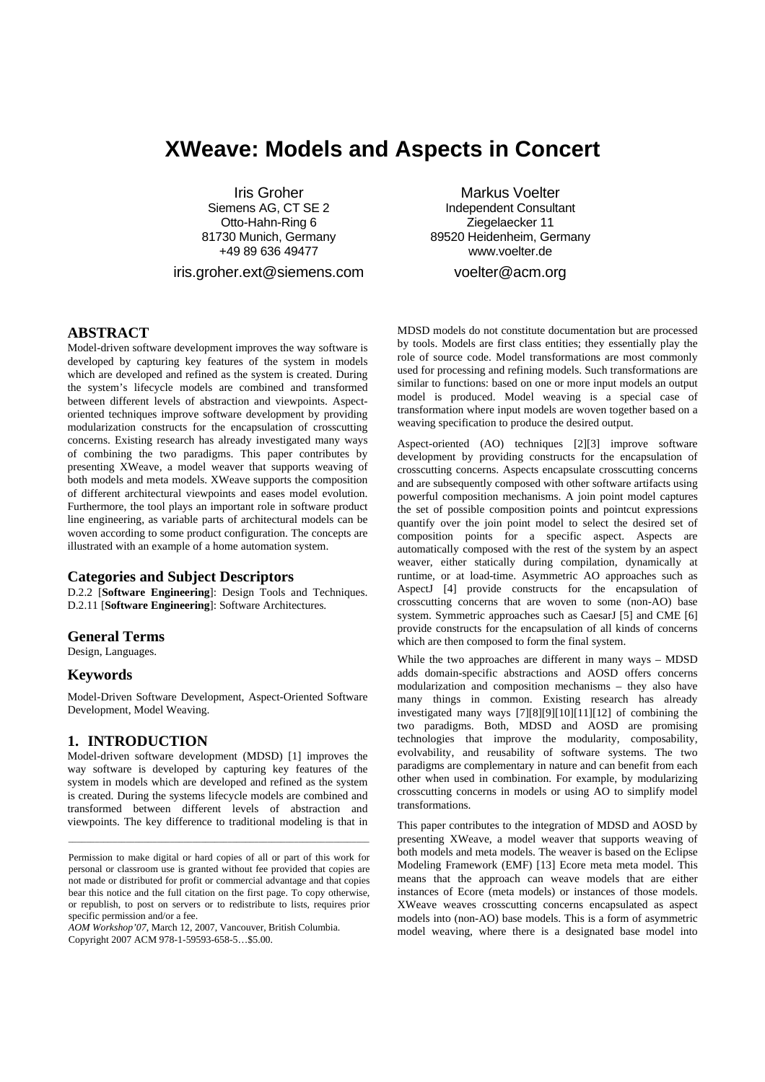# **XWeave: Models and Aspects in Concert**

Iris Groher Siemens AG, CT SE 2 Otto-Hahn-Ring 6 81730 Munich, Germany +49 89 636 49477

iris.groher.ext@siemens.com

## **ABSTRACT**

Model-driven software development improves the way software is developed by capturing key features of the system in models which are developed and refined as the system is created. During the system's lifecycle models are combined and transformed between different levels of abstraction and viewpoints. Aspectoriented techniques improve software development by providing modularization constructs for the encapsulation of crosscutting concerns. Existing research has already investigated many ways of combining the two paradigms. This paper contributes by presenting XWeave, a model weaver that supports weaving of both models and meta models. XWeave supports the composition of different architectural viewpoints and eases model evolution. Furthermore, the tool plays an important role in software product line engineering, as variable parts of architectural models can be woven according to some product configuration. The concepts are illustrated with an example of a home automation system.

### **Categories and Subject Descriptors**

D.2.2 [**Software Engineering**]: Design Tools and Techniques. D.2.11 [**Software Engineering**]: Software Architectures.

### **General Terms**

Design, Languages.

## **Keywords**

Model-Driven Software Development, Aspect-Oriented Software Development, Model Weaving.

## **1. INTRODUCTION**

Model-driven software development (MDSD) [1] improves the way software is developed by capturing key features of the system in models which are developed and refined as the system is created. During the systems lifecycle models are combined and transformed between different levels of abstraction and viewpoints. The key difference to traditional modeling is that in

\_\_\_\_\_\_\_\_\_\_\_\_\_\_\_\_\_\_\_\_\_\_\_\_\_\_\_\_\_\_\_\_\_\_\_\_\_\_\_\_\_\_\_\_\_\_\_\_\_\_\_\_\_\_\_\_\_\_\_\_\_\_\_\_\_\_\_\_

Markus Voelter Independent Consultant Ziegelaecker 11 89520 Heidenheim, Germany www.voelter.de

voelter@acm.org

MDSD models do not constitute documentation but are processed by tools. Models are first class entities; they essentially play the role of source code. Model transformations are most commonly used for processing and refining models. Such transformations are similar to functions: based on one or more input models an output model is produced. Model weaving is a special case of transformation where input models are woven together based on a weaving specification to produce the desired output.

Aspect-oriented (AO) techniques [2][3] improve software development by providing constructs for the encapsulation of crosscutting concerns. Aspects encapsulate crosscutting concerns and are subsequently composed with other software artifacts using powerful composition mechanisms. A join point model captures the set of possible composition points and pointcut expressions quantify over the join point model to select the desired set of composition points for a specific aspect. Aspects are automatically composed with the rest of the system by an aspect weaver, either statically during compilation, dynamically at runtime, or at load-time. Asymmetric AO approaches such as AspectJ [4] provide constructs for the encapsulation of crosscutting concerns that are woven to some (non-AO) base system. Symmetric approaches such as CaesarJ [5] and CME [6] provide constructs for the encapsulation of all kinds of concerns which are then composed to form the final system.

While the two approaches are different in many ways – MDSD adds domain-specific abstractions and AOSD offers concerns modularization and composition mechanisms – they also have many things in common. Existing research has already investigated many ways [7][8][9][10][11][12] of combining the two paradigms. Both, MDSD and AOSD are promising technologies that improve the modularity, composability, evolvability, and reusability of software systems. The two paradigms are complementary in nature and can benefit from each other when used in combination. For example, by modularizing crosscutting concerns in models or using AO to simplify model transformations.

This paper contributes to the integration of MDSD and AOSD by presenting XWeave, a model weaver that supports weaving of both models and meta models. The weaver is based on the Eclipse Modeling Framework (EMF) [13] Ecore meta meta model. This means that the approach can weave models that are either instances of Ecore (meta models) or instances of those models. XWeave weaves crosscutting concerns encapsulated as aspect models into (non-AO) base models. This is a form of asymmetric model weaving, where there is a designated base model into

Permission to make digital or hard copies of all or part of this work for personal or classroom use is granted without fee provided that copies are not made or distributed for profit or commercial advantage and that copies bear this notice and the full citation on the first page. To copy otherwise, or republish, to post on servers or to redistribute to lists, requires prior specific permission and/or a fee.

*AOM Workshop'07*, March 12, 2007, Vancouver, British Columbia. Copyright 2007 ACM 978-1-59593-658-5…\$5.00.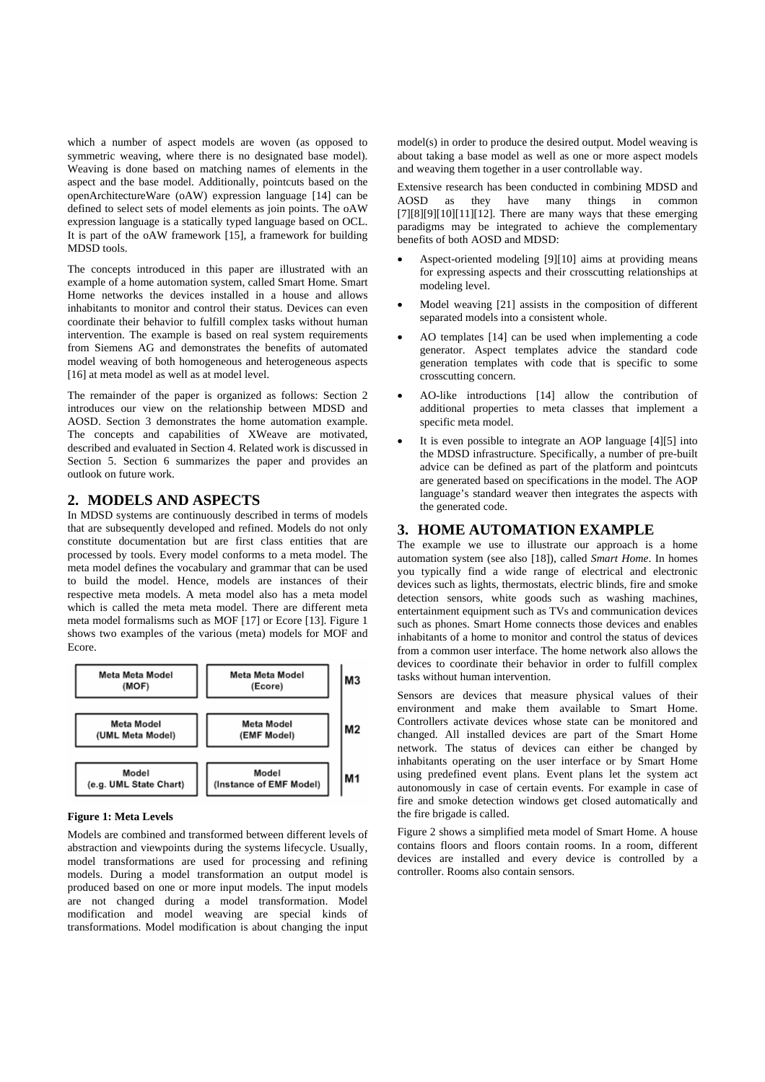which a number of aspect models are woven (as opposed to symmetric weaving, where there is no designated base model). Weaving is done based on matching names of elements in the aspect and the base model. Additionally, pointcuts based on the openArchitectureWare (oAW) expression language [14] can be defined to select sets of model elements as join points. The oAW expression language is a statically typed language based on OCL. It is part of the oAW framework [15], a framework for building MDSD tools.

The concepts introduced in this paper are illustrated with an example of a home automation system, called Smart Home. Smart Home networks the devices installed in a house and allows inhabitants to monitor and control their status. Devices can even coordinate their behavior to fulfill complex tasks without human intervention. The example is based on real system requirements from Siemens AG and demonstrates the benefits of automated model weaving of both homogeneous and heterogeneous aspects [16] at meta model as well as at model level.

The remainder of the paper is organized as follows: Section 2 introduces our view on the relationship between MDSD and AOSD. Section 3 demonstrates the home automation example. The concepts and capabilities of XWeave are motivated, described and evaluated in Section 4. Related work is discussed in Section 5. Section 6 summarizes the paper and provides an outlook on future work.

## **2. MODELS AND ASPECTS**

In MDSD systems are continuously described in terms of models that are subsequently developed and refined. Models do not only constitute documentation but are first class entities that are processed by tools. Every model conforms to a meta model. The meta model defines the vocabulary and grammar that can be used to build the model. Hence, models are instances of their respective meta models. A meta model also has a meta model which is called the meta meta model. There are different meta meta model formalisms such as MOF [17] or Ecore [13]. Figure 1 shows two examples of the various (meta) models for MOF and Ecore.



#### **Figure 1: Meta Levels**

Models are combined and transformed between different levels of abstraction and viewpoints during the systems lifecycle. Usually, model transformations are used for processing and refining models. During a model transformation an output model is produced based on one or more input models. The input models are not changed during a model transformation. Model modification and model weaving are special kinds of transformations. Model modification is about changing the input

model(s) in order to produce the desired output. Model weaving is about taking a base model as well as one or more aspect models and weaving them together in a user controllable way.

Extensive research has been conducted in combining MDSD and AOSD as they have many things in common  $[7][8][9][10][11][12]$ . There are many ways that these emerging paradigms may be integrated to achieve the complementary benefits of both AOSD and MDSD:

- Aspect-oriented modeling [9][10] aims at providing means for expressing aspects and their crosscutting relationships at modeling level.
- Model weaving [21] assists in the composition of different separated models into a consistent whole.
- AO templates [14] can be used when implementing a code generator. Aspect templates advice the standard code generation templates with code that is specific to some crosscutting concern.
- AO-like introductions [14] allow the contribution of additional properties to meta classes that implement a specific meta model.
- It is even possible to integrate an AOP language [4][5] into the MDSD infrastructure. Specifically, a number of pre-built advice can be defined as part of the platform and pointcuts are generated based on specifications in the model. The AOP language's standard weaver then integrates the aspects with the generated code.

## **3. HOME AUTOMATION EXAMPLE**

The example we use to illustrate our approach is a home automation system (see also [18]), called *Smart Home*. In homes you typically find a wide range of electrical and electronic devices such as lights, thermostats, electric blinds, fire and smoke detection sensors, white goods such as washing machines, entertainment equipment such as TVs and communication devices such as phones. Smart Home connects those devices and enables inhabitants of a home to monitor and control the status of devices from a common user interface. The home network also allows the devices to coordinate their behavior in order to fulfill complex tasks without human intervention.

Sensors are devices that measure physical values of their environment and make them available to Smart Home. Controllers activate devices whose state can be monitored and changed. All installed devices are part of the Smart Home network. The status of devices can either be changed by inhabitants operating on the user interface or by Smart Home using predefined event plans. Event plans let the system act autonomously in case of certain events. For example in case of fire and smoke detection windows get closed automatically and the fire brigade is called.

Figure 2 shows a simplified meta model of Smart Home. A house contains floors and floors contain rooms. In a room, different devices are installed and every device is controlled by a controller. Rooms also contain sensors.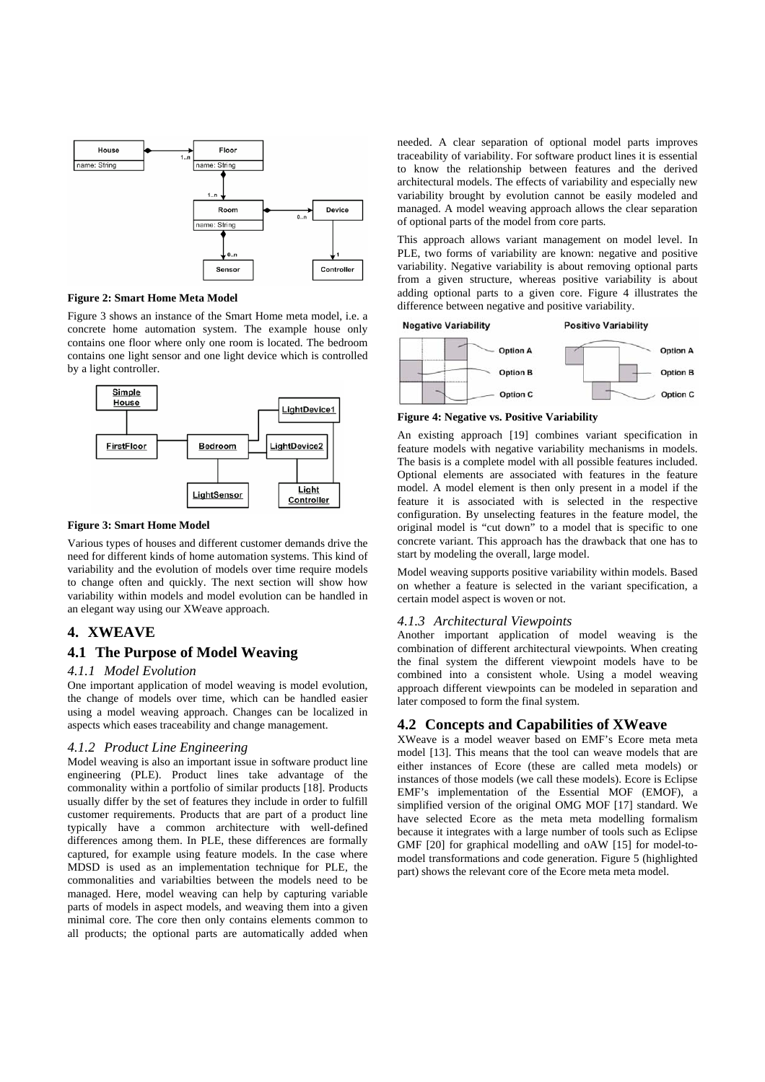

#### **Figure 2: Smart Home Meta Model**

Figure 3 shows an instance of the Smart Home meta model, i.e. a concrete home automation system. The example house only contains one floor where only one room is located. The bedroom contains one light sensor and one light device which is controlled by a light controller.



#### **Figure 3: Smart Home Model**

Various types of houses and different customer demands drive the need for different kinds of home automation systems. This kind of variability and the evolution of models over time require models to change often and quickly. The next section will show how variability within models and model evolution can be handled in an elegant way using our XWeave approach.

# **4. XWEAVE**

## **4.1 The Purpose of Model Weaving**

### *4.1.1 Model Evolution*

One important application of model weaving is model evolution, the change of models over time, which can be handled easier using a model weaving approach. Changes can be localized in aspects which eases traceability and change management.

#### *4.1.2 Product Line Engineering*

Model weaving is also an important issue in software product line engineering (PLE). Product lines take advantage of the commonality within a portfolio of similar products [18]. Products usually differ by the set of features they include in order to fulfill customer requirements. Products that are part of a product line typically have a common architecture with well-defined differences among them. In PLE, these differences are formally captured, for example using feature models. In the case where MDSD is used as an implementation technique for PLE, the commonalities and variabilties between the models need to be managed. Here, model weaving can help by capturing variable parts of models in aspect models, and weaving them into a given minimal core. The core then only contains elements common to all products; the optional parts are automatically added when

needed. A clear separation of optional model parts improves traceability of variability. For software product lines it is essential to know the relationship between features and the derived architectural models. The effects of variability and especially new variability brought by evolution cannot be easily modeled and managed. A model weaving approach allows the clear separation of optional parts of the model from core parts.

This approach allows variant management on model level. In PLE, two forms of variability are known: negative and positive variability. Negative variability is about removing optional parts from a given structure, whereas positive variability is about adding optional parts to a given core. Figure 4 illustrates the difference between negative and positive variability.



#### **Figure 4: Negative vs. Positive Variability**

An existing approach [19] combines variant specification in feature models with negative variability mechanisms in models. The basis is a complete model with all possible features included. Optional elements are associated with features in the feature model. A model element is then only present in a model if the feature it is associated with is selected in the respective configuration. By unselecting features in the feature model, the original model is "cut down" to a model that is specific to one concrete variant. This approach has the drawback that one has to start by modeling the overall, large model.

Model weaving supports positive variability within models. Based on whether a feature is selected in the variant specification, a certain model aspect is woven or not.

### *4.1.3 Architectural Viewpoints*

Another important application of model weaving is the combination of different architectural viewpoints. When creating the final system the different viewpoint models have to be combined into a consistent whole. Using a model weaving approach different viewpoints can be modeled in separation and later composed to form the final system.

## **4.2 Concepts and Capabilities of XWeave**

XWeave is a model weaver based on EMF's Ecore meta meta model [13]. This means that the tool can weave models that are either instances of Ecore (these are called meta models) or instances of those models (we call these models). Ecore is Eclipse EMF's implementation of the Essential MOF (EMOF), a simplified version of the original OMG MOF [17] standard. We have selected Ecore as the meta meta modelling formalism because it integrates with a large number of tools such as Eclipse GMF [20] for graphical modelling and oAW [15] for model-tomodel transformations and code generation. Figure 5 (highlighted part) shows the relevant core of the Ecore meta meta model.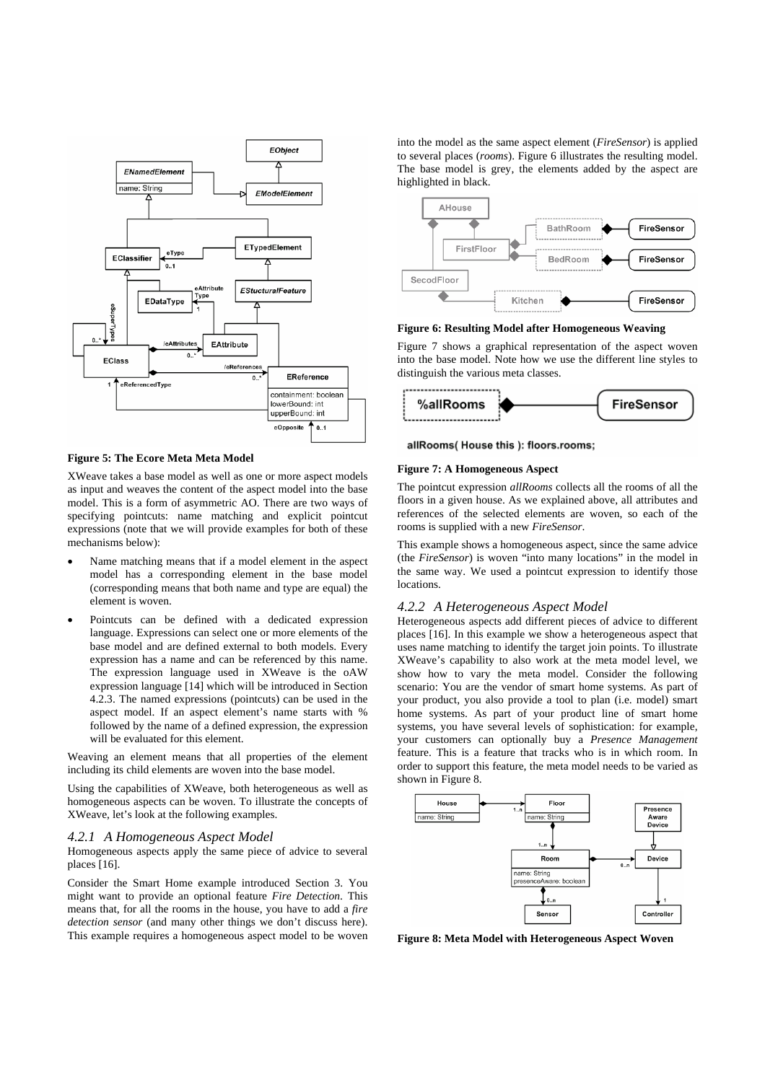

## **Figure 5: The Ecore Meta Meta Model**

XWeave takes a base model as well as one or more aspect models as input and weaves the content of the aspect model into the base model. This is a form of asymmetric AO. There are two ways of specifying pointcuts: name matching and explicit pointcut expressions (note that we will provide examples for both of these mechanisms below):

- Name matching means that if a model element in the aspect model has a corresponding element in the base model (corresponding means that both name and type are equal) the element is woven.
- Pointcuts can be defined with a dedicated expression language. Expressions can select one or more elements of the base model and are defined external to both models. Every expression has a name and can be referenced by this name. The expression language used in XWeave is the oAW expression language [14] which will be introduced in Section 4.2.3. The named expressions (pointcuts) can be used in the aspect model. If an aspect element's name starts with % followed by the name of a defined expression, the expression will be evaluated for this element.

Weaving an element means that all properties of the element including its child elements are woven into the base model.

Using the capabilities of XWeave, both heterogeneous as well as homogeneous aspects can be woven. To illustrate the concepts of XWeave, let's look at the following examples.

#### *4.2.1 A Homogeneous Aspect Model*

Homogeneous aspects apply the same piece of advice to several places [16].

Consider the Smart Home example introduced Section 3. You might want to provide an optional feature *Fire Detection*. This means that, for all the rooms in the house, you have to add a *fire detection sensor* (and many other things we don't discuss here). This example requires a homogeneous aspect model to be woven into the model as the same aspect element (*FireSensor*) is applied to several places (*rooms*). Figure 6 illustrates the resulting model. The base model is grey, the elements added by the aspect are highlighted in black.



**Figure 6: Resulting Model after Homogeneous Weaving** 

Figure 7 shows a graphical representation of the aspect woven into the base model. Note how we use the different line styles to distinguish the various meta classes.



allRooms(House this): floors.rooms;

#### **Figure 7: A Homogeneous Aspect**

The pointcut expression *allRooms* collects all the rooms of all the floors in a given house. As we explained above, all attributes and references of the selected elements are woven, so each of the rooms is supplied with a new *FireSensor*.

This example shows a homogeneous aspect, since the same advice (the *FireSensor*) is woven "into many locations" in the model in the same way. We used a pointcut expression to identify those locations.

#### *4.2.2 A Heterogeneous Aspect Model*

Heterogeneous aspects add different pieces of advice to different places [16]. In this example we show a heterogeneous aspect that uses name matching to identify the target join points. To illustrate XWeave's capability to also work at the meta model level, we show how to vary the meta model. Consider the following scenario: You are the vendor of smart home systems. As part of your product, you also provide a tool to plan (i.e. model) smart home systems. As part of your product line of smart home systems, you have several levels of sophistication: for example, your customers can optionally buy a *Presence Management* feature. This is a feature that tracks who is in which room. In order to support this feature, the meta model needs to be varied as shown in Figure 8.



**Figure 8: Meta Model with Heterogeneous Aspect Woven**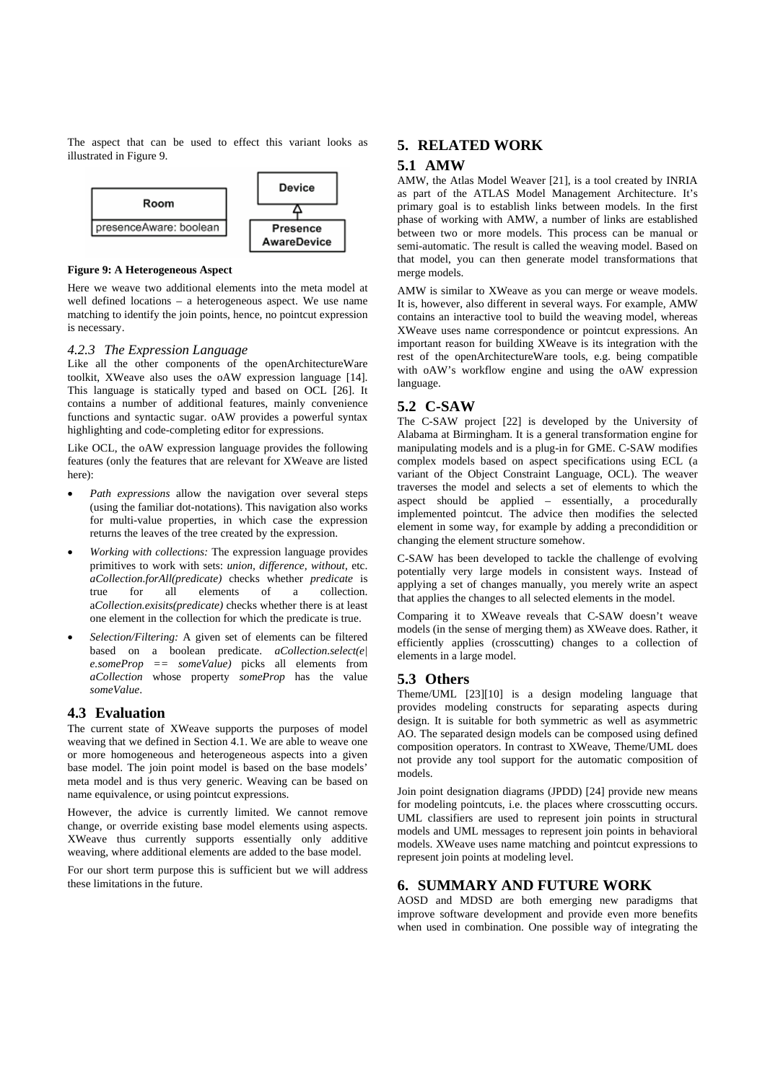The aspect that can be used to effect this variant looks as illustrated in Figure 9.



**Figure 9: A Heterogeneous Aspect** 

Here we weave two additional elements into the meta model at well defined locations – a heterogeneous aspect. We use name matching to identify the join points, hence, no pointcut expression is necessary.

## *4.2.3 The Expression Language*

Like all the other components of the openArchitectureWare toolkit, XWeave also uses the oAW expression language [14]. This language is statically typed and based on OCL [26]. It contains a number of additional features, mainly convenience functions and syntactic sugar. oAW provides a powerful syntax highlighting and code-completing editor for expressions.

Like OCL, the oAW expression language provides the following features (only the features that are relevant for XWeave are listed here):

- Path expressions allow the navigation over several steps (using the familiar dot-notations). This navigation also works for multi-value properties, in which case the expression returns the leaves of the tree created by the expression.
- *Working with collections:* The expression language provides primitives to work with sets: *union, difference, without*, etc. *aCollection.forAll(predicate)* checks whether *predicate* is true for all elements of a collection. a*Collection.exisits(predicate)* checks whether there is at least one element in the collection for which the predicate is true.
- *Selection/Filtering:* A given set of elements can be filtered based on a boolean predicate. *aCollection.select(e| e.someProp == someValue)* picks all elements from *aCollection* whose property *someProp* has the value *someValue*.

## **4.3 Evaluation**

The current state of XWeave supports the purposes of model weaving that we defined in Section 4.1. We are able to weave one or more homogeneous and heterogeneous aspects into a given base model. The join point model is based on the base models' meta model and is thus very generic. Weaving can be based on name equivalence, or using pointcut expressions.

However, the advice is currently limited. We cannot remove change, or override existing base model elements using aspects. XWeave thus currently supports essentially only additive weaving, where additional elements are added to the base model.

For our short term purpose this is sufficient but we will address these limitations in the future.

# **5. RELATED WORK**

## **5.1 AMW**

AMW, the Atlas Model Weaver [21], is a tool created by INRIA as part of the ATLAS Model Management Architecture. It's primary goal is to establish links between models. In the first phase of working with AMW, a number of links are established between two or more models. This process can be manual or semi-automatic. The result is called the weaving model. Based on that model, you can then generate model transformations that merge models.

AMW is similar to XWeave as you can merge or weave models. It is, however, also different in several ways. For example, AMW contains an interactive tool to build the weaving model, whereas XWeave uses name correspondence or pointcut expressions. An important reason for building XWeave is its integration with the rest of the openArchitectureWare tools, e.g. being compatible with oAW's workflow engine and using the oAW expression language.

## **5.2 C-SAW**

The C-SAW project [22] is developed by the University of Alabama at Birmingham. It is a general transformation engine for manipulating models and is a plug-in for GME. C-SAW modifies complex models based on aspect specifications using ECL (a variant of the Object Constraint Language, OCL). The weaver traverses the model and selects a set of elements to which the aspect should be applied – essentially, a procedurally implemented pointcut. The advice then modifies the selected element in some way, for example by adding a precondidition or changing the element structure somehow.

C-SAW has been developed to tackle the challenge of evolving potentially very large models in consistent ways. Instead of applying a set of changes manually, you merely write an aspect that applies the changes to all selected elements in the model.

Comparing it to XWeave reveals that C-SAW doesn't weave models (in the sense of merging them) as XWeave does. Rather, it efficiently applies (crosscutting) changes to a collection of elements in a large model.

## **5.3 Others**

Theme/UML [23][10] is a design modeling language that provides modeling constructs for separating aspects during design. It is suitable for both symmetric as well as asymmetric AO. The separated design models can be composed using defined composition operators. In contrast to XWeave, Theme/UML does not provide any tool support for the automatic composition of models.

Join point designation diagrams (JPDD) [24] provide new means for modeling pointcuts, i.e. the places where crosscutting occurs. UML classifiers are used to represent join points in structural models and UML messages to represent join points in behavioral models. XWeave uses name matching and pointcut expressions to represent join points at modeling level.

## **6. SUMMARY AND FUTURE WORK**

AOSD and MDSD are both emerging new paradigms that improve software development and provide even more benefits when used in combination. One possible way of integrating the